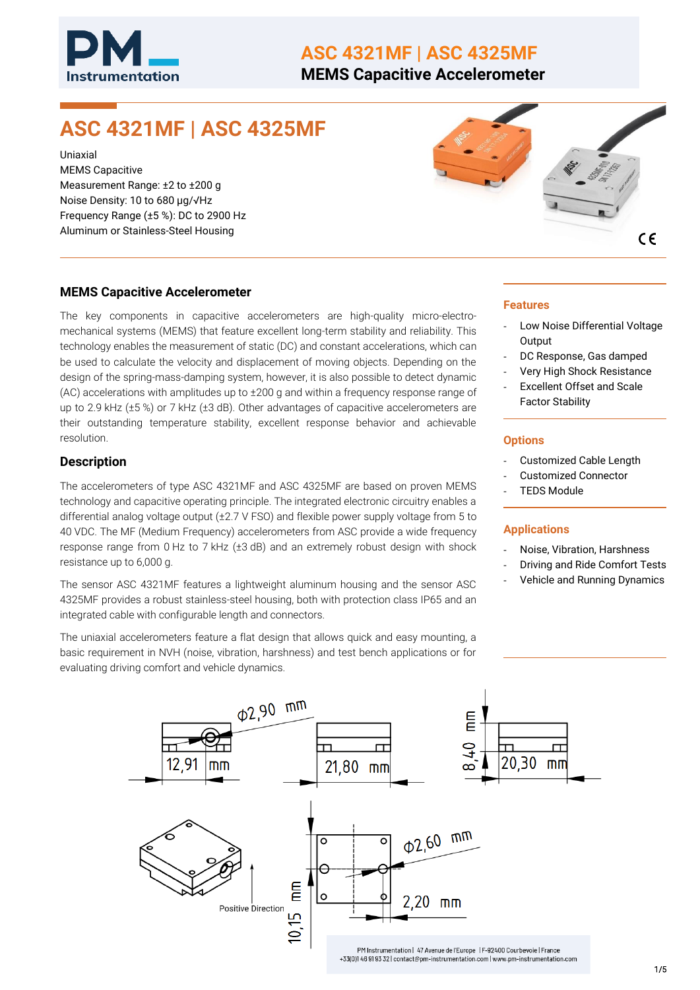

## **ASC 4321MF | ASC 4325MF**

**MEMS Capacitive Accelerometer**

# **ASC 4321MF | ASC 4325MF**

Uniaxial MEMS Capacitive Measurement Range: ±2 to ±200 g Noise Density: 10 to 680 µg/√Hz Frequency Range (±5 %): DC to 2900 Hz Aluminum or Stainless-Steel Housing



#### **MEMS Capacitive Accelerometer**

The key components in capacitive accelerometers are high-quality micro-electromechanical systems (MEMS) that feature excellent long-term stability and reliability. This technology enables the measurement of static (DC) and constant accelerations, which can be used to calculate the velocity and displacement of moving objects. Depending on the design of the spring-mass-damping system, however, it is also possible to detect dynamic (AC) accelerations with amplitudes up to ±200 g and within a frequency response range of up to 2.9 kHz (±5 %) or 7 kHz (±3 dB). Other advantages of capacitive accelerometers are their outstanding temperature stability, excellent response behavior and achievable resolution.

#### **Description**

The accelerometers of type ASC 4321MF and ASC 4325MF are based on proven MEMS technology and capacitive operating principle. The integrated electronic circuitry enables a differential analog voltage output (±2.7 V FSO) and flexible power supply voltage from 5 to 40 VDC. The MF (Medium Frequency) accelerometers from ASC provide a wide frequency response range from 0 Hz to 7 kHz (±3 dB) and an extremely robust design with shock resistance up to 6,000 g.

The sensor ASC 4321MF features a lightweight aluminum housing and the sensor ASC 4325MF provides a robust stainless-steel housing, both with protection class IP65 and an integrated cable with configurable length and connectors.

The uniaxial accelerometers feature a flat design that allows quick and easy mounting, a basic requirement in NVH (noise, vibration, harshness) and test bench applications or for evaluating driving comfort and vehicle dynamics.

#### **Features**

- Low Noise Differential Voltage **Output**
- DC Response, Gas damped
- Very High Shock Resistance
- Excellent Offset and Scale Factor Stability

#### **Options**

- Customized Cable Length
- Customized Connector
- **TEDS Module**

#### **Applications**

- Noise, Vibration, Harshness
- Driving and Ride Comfort Tests
- Vehicle and Running Dynamics

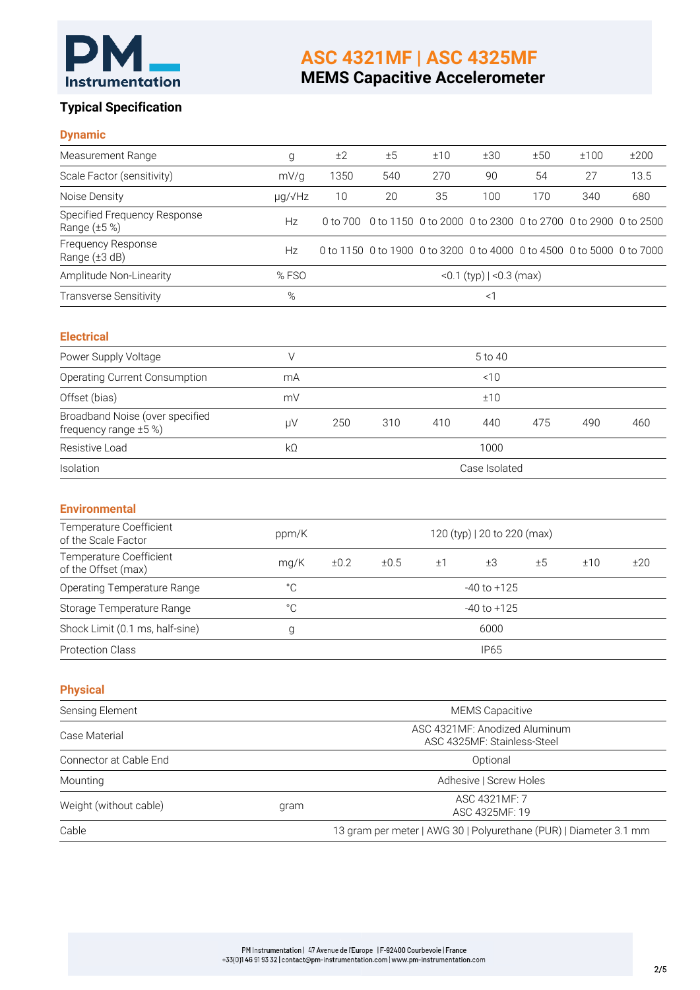

# **ASC 4321MF | ASC 4325MF**

# **MEMS Capacitive Accelerometer**

#### **Typical Specification**

#### **Dynamic**

| Measurement Range                                             | g            | ±2                                                           | ±5                                                                | ±10                                                                   | ±30                             | ±50 | ±100 | ±200 |
|---------------------------------------------------------------|--------------|--------------------------------------------------------------|-------------------------------------------------------------------|-----------------------------------------------------------------------|---------------------------------|-----|------|------|
| Scale Factor (sensitivity)                                    | mV/g         | 1350                                                         | 540                                                               | 270                                                                   | 90                              | 54  | 27   | 13.5 |
| Noise Density                                                 | µg/√Hz       | 10                                                           | 20                                                                | 35                                                                    | 100                             | 170 | 340  | 680  |
| Specified Frequency Response<br>Range (±5 %)                  | Hz           | 0 to 700                                                     |                                                                   | 0 to 1150 0 to 2000 0 to 2300 0 to 2700 0 to 2900 0 to 2500           |                                 |     |      |      |
| Frequency Response<br>Range (±3 dB)                           | Hz           |                                                              |                                                                   | 0 to 1150 0 to 1900 0 to 3200 0 to 4000 0 to 4500 0 to 5000 0 to 7000 |                                 |     |      |      |
| Amplitude Non-Linearity                                       | %FSO         |                                                              |                                                                   |                                                                       | <0.1 (typ) $ $ <0.3 (max)       |     |      |      |
| <b>Transverse Sensitivity</b>                                 | $\%$         |                                                              |                                                                   |                                                                       | <1                              |     |      |      |
| <b>Electrical</b>                                             |              |                                                              |                                                                   |                                                                       |                                 |     |      |      |
| Power Supply Voltage                                          | $\vee$       |                                                              |                                                                   |                                                                       | 5 to 40                         |     |      |      |
| Operating Current Consumption                                 | mA           |                                                              |                                                                   |                                                                       | ~10                             |     |      |      |
| Offset (bias)                                                 | mV           |                                                              |                                                                   |                                                                       | ±10                             |     |      |      |
| Broadband Noise (over specified<br>frequency range $\pm 5$ %) | μV           | 250                                                          | 310<br>410<br>440<br>475                                          |                                                                       |                                 | 490 | 460  |      |
| Resistive Load                                                | $k\Omega$    |                                                              |                                                                   |                                                                       | 1000                            |     |      |      |
| Isolation                                                     |              |                                                              |                                                                   |                                                                       | Case Isolated                   |     |      |      |
| <b>Environmental</b>                                          |              |                                                              |                                                                   |                                                                       |                                 |     |      |      |
| Temperature Coefficient<br>of the Scale Factor                | ppm/K        |                                                              |                                                                   |                                                                       | 120 (typ)   20 to 220 (max)     |     |      |      |
| Temperature Coefficient<br>of the Offset (max)                | mg/K         | ±0.2<br>±0.5<br>±1<br>±3<br>±5                               |                                                                   |                                                                       | ±10                             | ±20 |      |      |
| Operating Temperature Range                                   | $^{\circ}$ C |                                                              |                                                                   |                                                                       | $-40$ to $+125$                 |     |      |      |
| Storage Temperature Range                                     | $^{\circ}$ C | $-40$ to $+125$                                              |                                                                   |                                                                       |                                 |     |      |      |
| Shock Limit (0.1 ms, half-sine)                               | g            | 6000                                                         |                                                                   |                                                                       |                                 |     |      |      |
| <b>Protection Class</b>                                       |              | <b>IP65</b>                                                  |                                                                   |                                                                       |                                 |     |      |      |
| <b>Physical</b>                                               |              |                                                              |                                                                   |                                                                       |                                 |     |      |      |
| Sensing Element                                               |              |                                                              |                                                                   |                                                                       | <b>MEMS Capacitive</b>          |     |      |      |
| Case Material                                                 |              | ASC 4321MF: Anodized Aluminum<br>ASC 4325MF: Stainless-Steel |                                                                   |                                                                       |                                 |     |      |      |
| Connector at Cable End                                        |              |                                                              |                                                                   |                                                                       | Optional                        |     |      |      |
| Mounting                                                      |              |                                                              |                                                                   |                                                                       | Adhesive   Screw Holes          |     |      |      |
| Weight (without cable)                                        | gram         |                                                              |                                                                   |                                                                       | ASC 4321MF: 7<br>ASC 4325MF: 19 |     |      |      |
| Cable                                                         |              |                                                              | 13 gram per meter   AWG 30   Polyurethane (PUR)   Diameter 3.1 mm |                                                                       |                                 |     |      |      |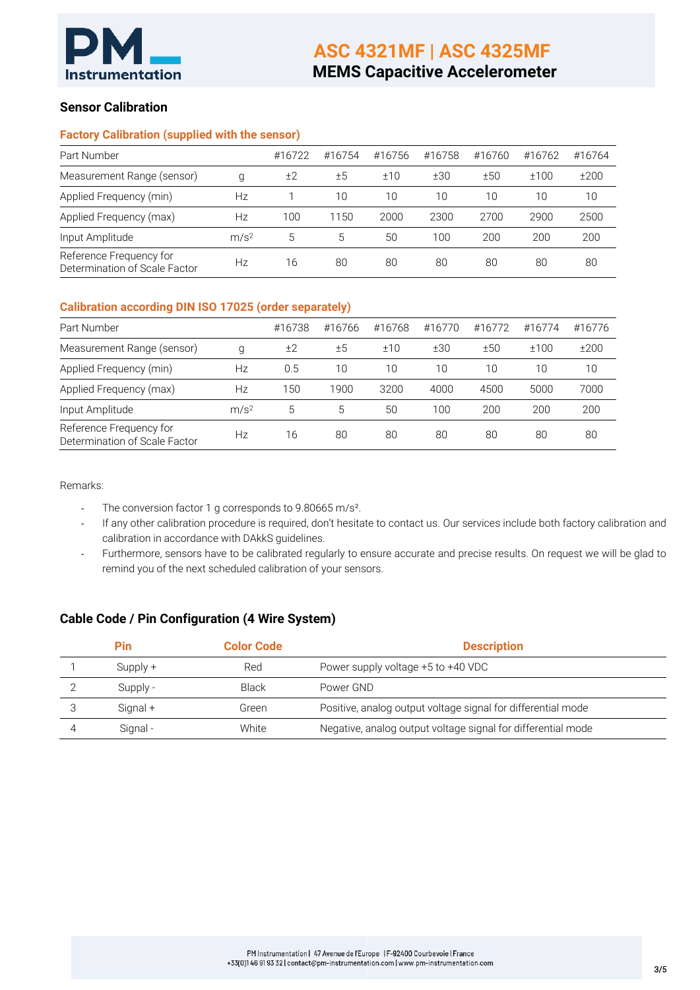

#### **Sensor Calibration**

#### **Factory Calibration (supplied with the sensor)**

| Part Number                                              |                  | #16722 | #16754 | #16756 | #16758 | #16760 | #16762 | #16764 |
|----------------------------------------------------------|------------------|--------|--------|--------|--------|--------|--------|--------|
| Measurement Range (sensor)                               | g                | ±2     | ±5     | ±10    | ±30    | ±50    | ±100   | ±200   |
| Applied Frequency (min)                                  | Нz               |        | 10     | 10     | 10     | 10     | 10     | 10     |
| Applied Frequency (max)                                  | Нz               | 100    | 1150   | 2000   | 2300   | 2700   | 2900   | 2500   |
| Input Amplitude                                          | m/s <sup>2</sup> | 5      | 5      | 50     | 100    | 200    | 200    | 200    |
| Reference Frequency for<br>Determination of Scale Factor | Нz               | 16     | 80     | 80     | 80     | 80     | 80     | 80     |

#### **Calibration according DIN ISO 17025 (order separately)**

| Part Number                                              |                  | #16738 | #16766 | #16768 | #16770 | #16772 | #16774 | #16776 |
|----------------------------------------------------------|------------------|--------|--------|--------|--------|--------|--------|--------|
| Measurement Range (sensor)                               | g                | ±2     | ±5     | ±10    | ±30    | ±50    | ±100   | ±200   |
| Applied Frequency (min)                                  | Нz               | 0.5    | 10     | 10     | 10     | 10     | 10     | 10     |
| Applied Frequency (max)                                  | Нz               | 150    | 1900   | 3200   | 4000   | 4500   | 5000   | 7000   |
| Input Amplitude                                          | m/s <sup>2</sup> | 5      | 5      | 50     | 100    | 200    | 200    | 200    |
| Reference Frequency for<br>Determination of Scale Factor | Нz               | 16     | 80     | 80     | 80     | 80     | 80     | 80     |

Remarks:

- The conversion factor 1 g corresponds to 9.80665 m/s<sup>2</sup>.
- If any other calibration procedure is required, don't hesitate to contact us. Our services include both factory calibration and calibration in accordance with DAkkS guidelines.
- Furthermore, sensors have to be calibrated regularly to ensure accurate and precise results. On request we will be glad to remind you of the next scheduled calibration of your sensors.

#### **Cable Code / Pin Configuration (4 Wire System)**

| Pin        | <b>Color Code</b> | <b>Description</b>                                           |
|------------|-------------------|--------------------------------------------------------------|
| $Supply +$ | Red               | Power supply voltage +5 to +40 VDC                           |
| Supply -   | Black             | Power GND                                                    |
| Signal +   | Green             | Positive, analog output voltage signal for differential mode |
| Signal-    | White             | Negative, analog output voltage signal for differential mode |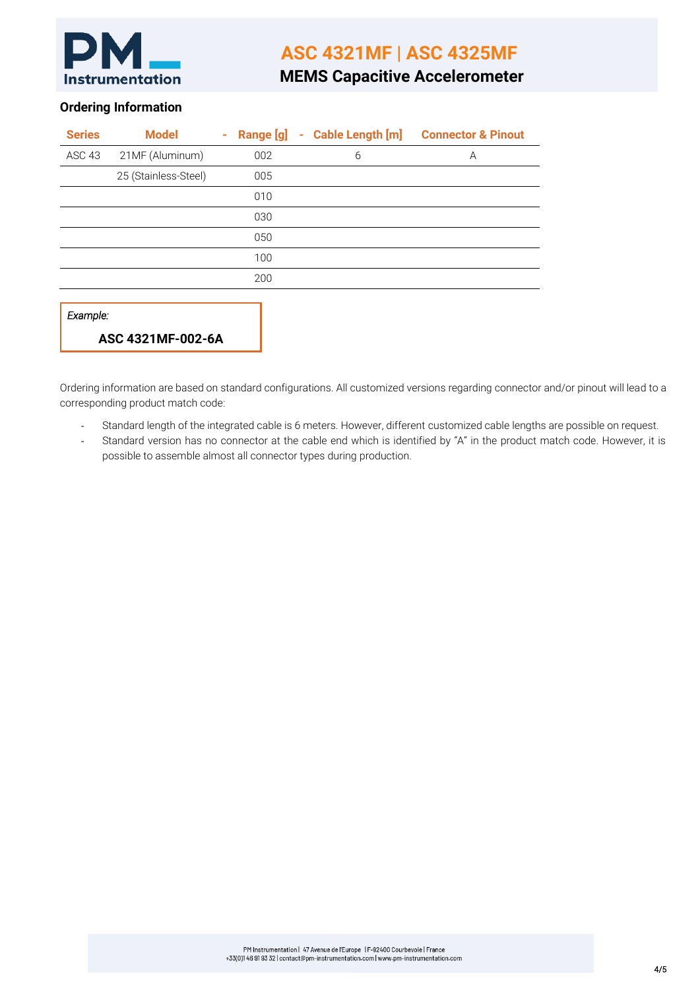

## **ASC 4321MF | ASC 4325MF**

### **MEMS Capacitive Accelerometer**

#### **Ordering Information**

| <b>Series</b> | <b>Model</b>         | $\sim$ |     | Range [g] - Cable Length [m] | <b>Connector &amp; Pinout</b> |
|---------------|----------------------|--------|-----|------------------------------|-------------------------------|
| ASC 43        | 21MF (Aluminum)      |        | 002 | 6                            | A                             |
|               | 25 (Stainless-Steel) |        | 005 |                              |                               |
|               |                      |        | 010 |                              |                               |
|               |                      |        | 030 |                              |                               |
|               |                      |        | 050 |                              |                               |
|               |                      |        | 100 |                              |                               |
|               |                      |        | 200 |                              |                               |
| Example:      | ASC 4321MF-002-6A    |        |     |                              |                               |

Ordering information are based on standard configurations. All customized versions regarding connector and/or pinout will lead to a corresponding product match code:

- Standard length of the integrated cable is 6 meters. However, different customized cable lengths are possible on request.
- Standard version has no connector at the cable end which is identified by "A" in the product match code. However, it is possible to assemble almost all connector types during production.